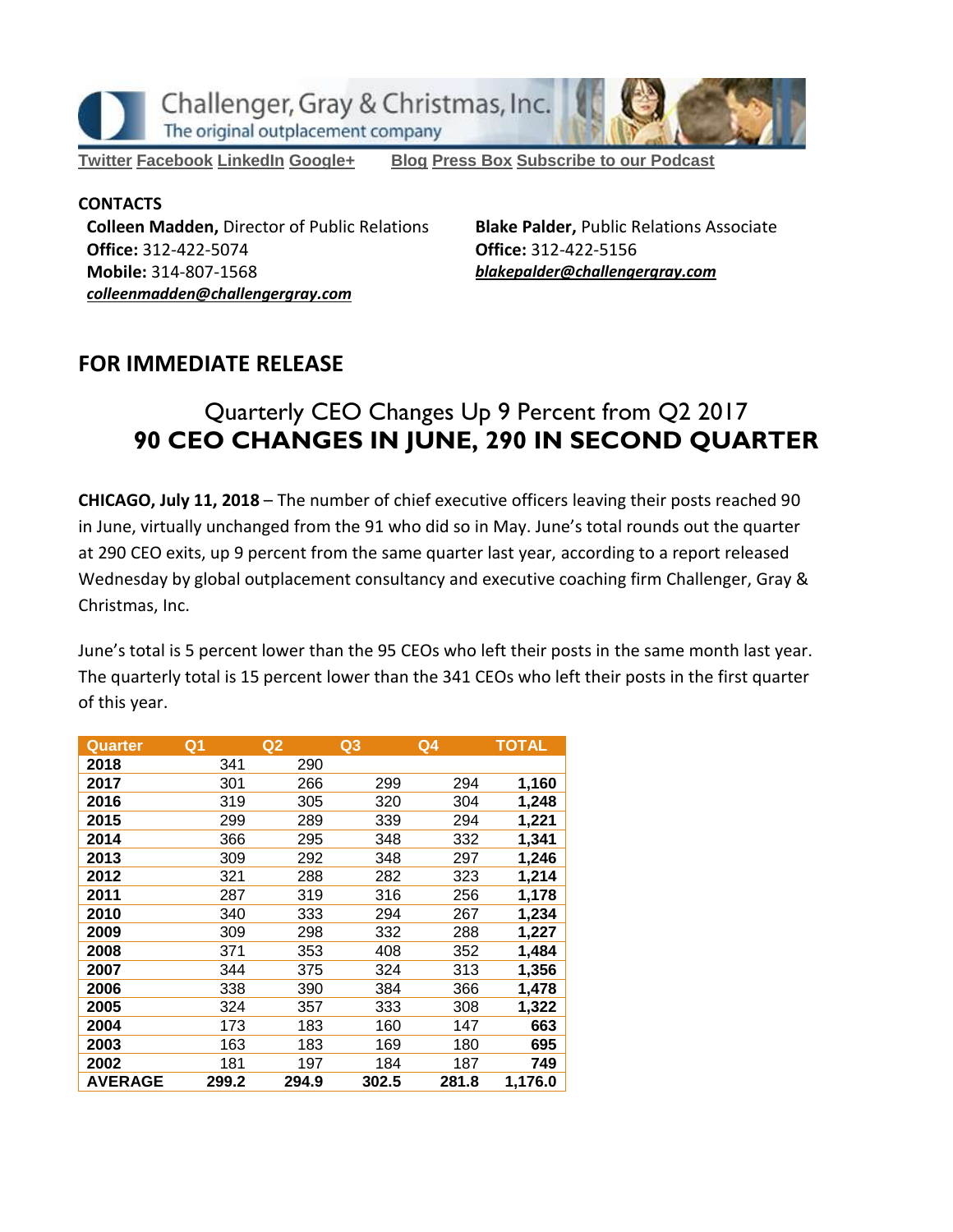

**[Twitter](https://twitter.com/#!/ChallengerGray) [Facebook](https://www.facebook.com/ChallengerGray) [LinkedIn](http://www.linkedin.com/company/28264?trk=tyah) [Google+](https://plus.google.com/b/114363499979264115698/114363499979264115698) [Blog](http://www.challengergray.com/press/blog) [Press](http://www.challengergray.com/press/press-releases) Box [Subscribe](https://itunes.apple.com/us/podcast/challenger-podcast-hr-passport/id1155541697?mt=2) to our Podcast**

#### **CONTACTS Colleen Madden,** Director of Public Relations **Office:** 312-422-5074 **Mobile:** 314-807-1568 *[colleenmadden@challengergray.com](mailto:colleenmadden@challengergray.com)*

**Blake Palder,** Public Relations Associate **Office:** 312-422-5156 *[blakepalder@challengergray.com](mailto:blakepalder@challengergray.com)*

## **FOR IMMEDIATE RELEASE**

# Quarterly CEO Changes Up 9 Percent from Q2 2017 **90 CEO CHANGES IN JUNE, 290 IN SECOND QUARTER**

**CHICAGO, July 11, 2018** – The number of chief executive officers leaving their posts reached 90 in June, virtually unchanged from the 91 who did so in May. June's total rounds out the quarter at 290 CEO exits, up 9 percent from the same quarter last year, according to a report released Wednesday by global outplacement consultancy and executive coaching firm Challenger, Gray & Christmas, Inc.

June's total is 5 percent lower than the 95 CEOs who left their posts in the same month last year. The quarterly total is 15 percent lower than the 341 CEOs who left their posts in the first quarter of this year.

| Quarter        | Q1    | Q <sub>2</sub> | Q <sub>3</sub> | Q <sub>4</sub> | <b>TOTAL</b> |
|----------------|-------|----------------|----------------|----------------|--------------|
| 2018           | 341   | 290            |                |                |              |
| 2017           | 301   | 266            | 299            | 294            | 1,160        |
| 2016           | 319   | 305            | 320            | 304            | 1,248        |
| 2015           | 299   | 289            | 339            | 294            | 1,221        |
| 2014           | 366   | 295            | 348            | 332            | 1,341        |
| 2013           | 309   | 292            | 348            | 297            | 1,246        |
| 2012           | 321   | 288            | 282            | 323            | 1,214        |
| 2011           | 287   | 319            | 316            | 256            | 1,178        |
| 2010           | 340   | 333            | 294            | 267            | 1,234        |
| 2009           | 309   | 298            | 332            | 288            | 1,227        |
| 2008           | 371   | 353            | 408            | 352            | 1,484        |
| 2007           | 344   | 375            | 324            | 313            | 1,356        |
| 2006           | 338   | 390            | 384            | 366            | 1,478        |
| 2005           | 324   | 357            | 333            | 308            | 1,322        |
| 2004           | 173   | 183            | 160            | 147            | 663          |
| 2003           | 163   | 183            | 169            | 180            | 695          |
| 2002           | 181   | 197            | 184            | 187            | 749          |
| <b>AVERAGE</b> | 299.2 | 294.9          | 302.5          | 281.8          | 1,176.0      |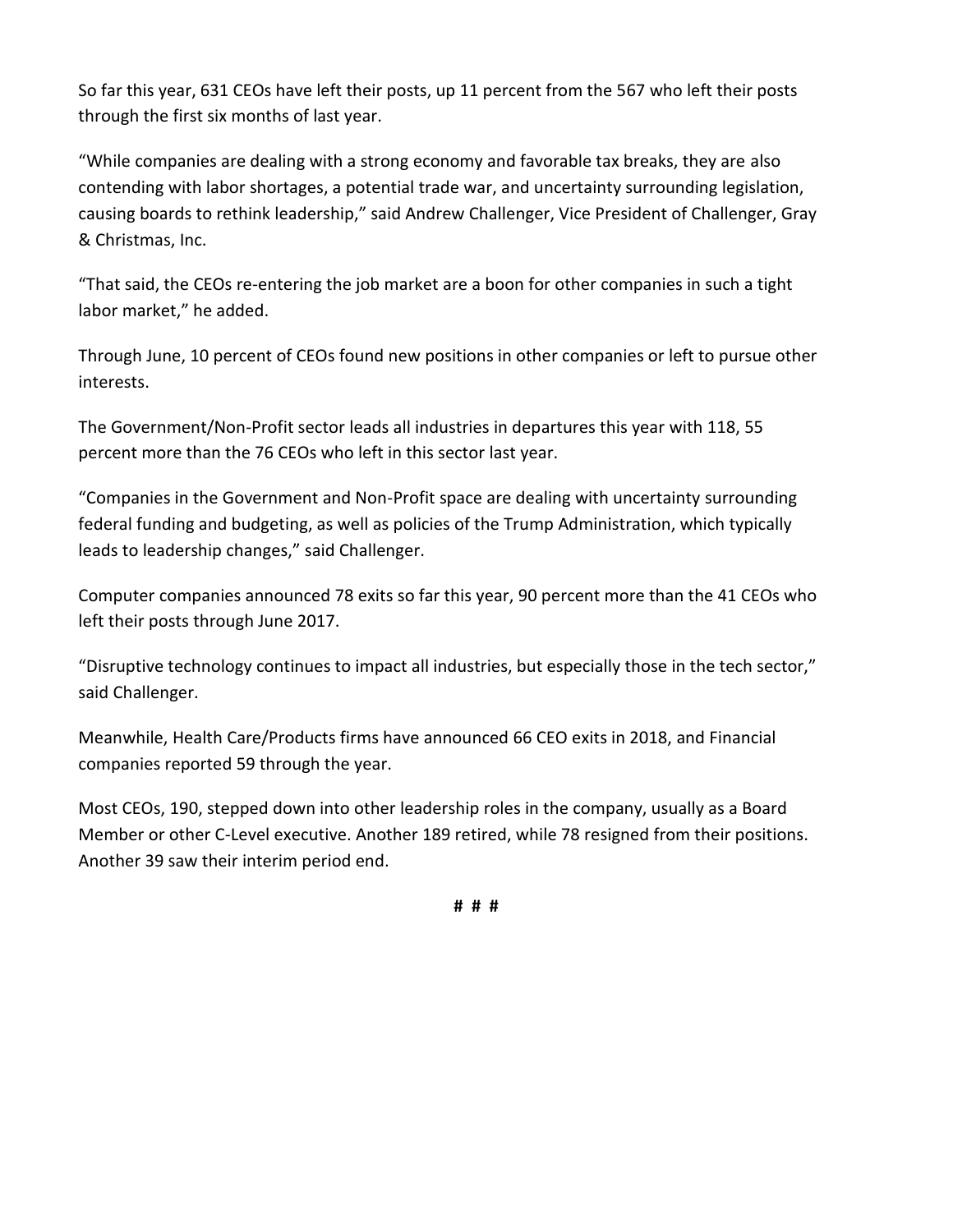So far this year, 631 CEOs have left their posts, up 11 percent from the 567 who left their posts through the first six months of last year.

"While companies are dealing with a strong economy and favorable tax breaks, they are also contending with labor shortages, a potential trade war, and uncertainty surrounding legislation, causing boards to rethink leadership," said Andrew Challenger, Vice President of Challenger, Gray & Christmas, Inc.

"That said, the CEOs re-entering the job market are a boon for other companies in such a tight labor market," he added.

Through June, 10 percent of CEOs found new positions in other companies or left to pursue other interests.

The Government/Non-Profit sector leads all industries in departures this year with 118, 55 percent more than the 76 CEOs who left in this sector last year.

"Companies in the Government and Non-Profit space are dealing with uncertainty surrounding federal funding and budgeting, as well as policies of the Trump Administration, which typically leads to leadership changes," said Challenger.

Computer companies announced 78 exits so far this year, 90 percent more than the 41 CEOs who left their posts through June 2017.

"Disruptive technology continues to impact all industries, but especially those in the tech sector," said Challenger.

Meanwhile, Health Care/Products firms have announced 66 CEO exits in 2018, and Financial companies reported 59 through the year.

Most CEOs, 190, stepped down into other leadership roles in the company, usually as a Board Member or other C-Level executive. Another 189 retired, while 78 resigned from their positions. Another 39 saw their interim period end.

**# # #**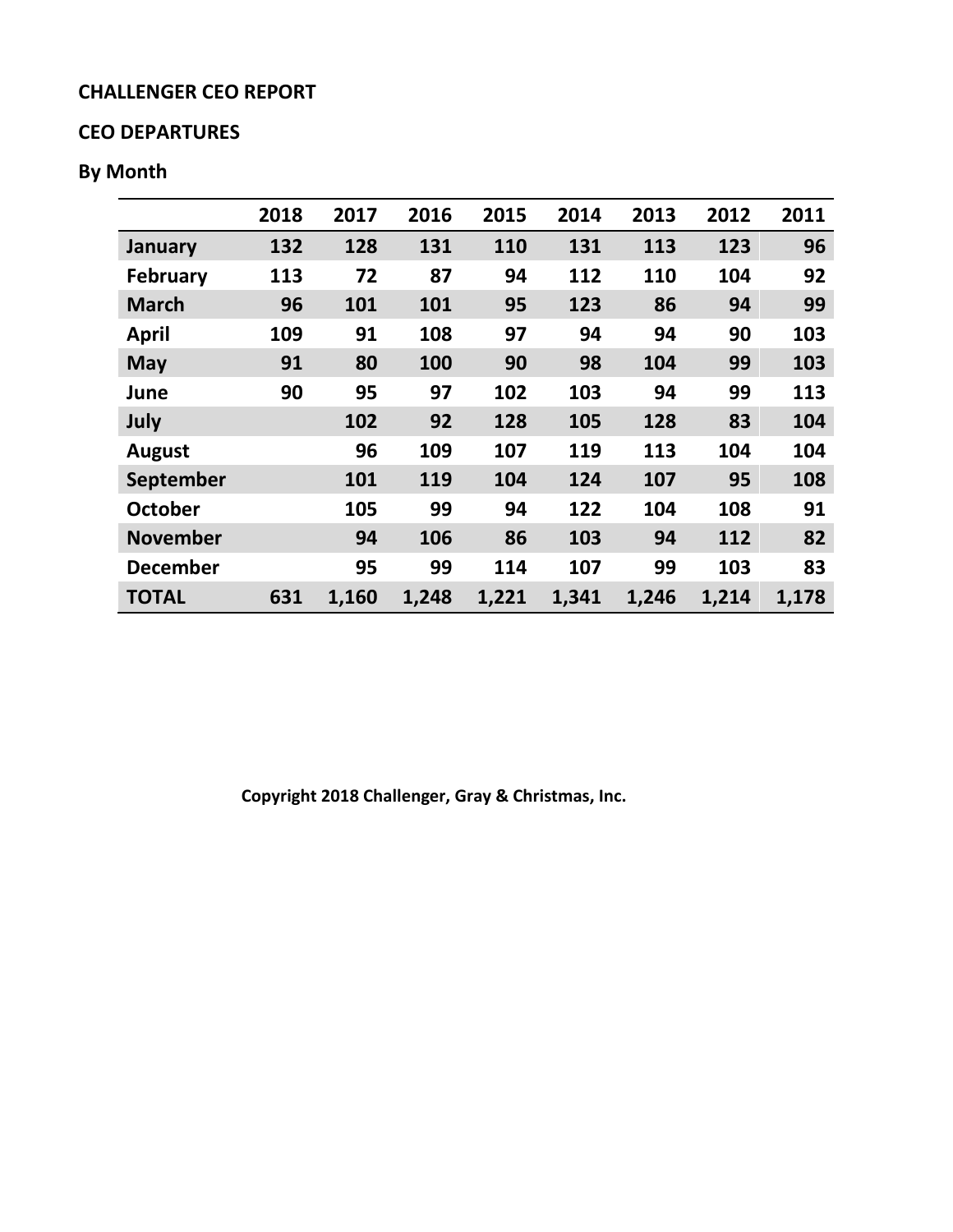## **CEO DEPARTURES**

# **By Month**

|                 | 2018 | 2017  | 2016  | 2015  | 2014  | 2013  | 2012  | 2011  |
|-----------------|------|-------|-------|-------|-------|-------|-------|-------|
| January         | 132  | 128   | 131   | 110   | 131   | 113   | 123   | 96    |
| <b>February</b> | 113  | 72    | 87    | 94    | 112   | 110   | 104   | 92    |
| <b>March</b>    | 96   | 101   | 101   | 95    | 123   | 86    | 94    | 99    |
| April           | 109  | 91    | 108   | 97    | 94    | 94    | 90    | 103   |
| <b>May</b>      | 91   | 80    | 100   | 90    | 98    | 104   | 99    | 103   |
| June            | 90   | 95    | 97    | 102   | 103   | 94    | 99    | 113   |
| July            |      | 102   | 92    | 128   | 105   | 128   | 83    | 104   |
| <b>August</b>   |      | 96    | 109   | 107   | 119   | 113   | 104   | 104   |
| September       |      | 101   | 119   | 104   | 124   | 107   | 95    | 108   |
| <b>October</b>  |      | 105   | 99    | 94    | 122   | 104   | 108   | 91    |
| <b>November</b> |      | 94    | 106   | 86    | 103   | 94    | 112   | 82    |
| <b>December</b> |      | 95    | 99    | 114   | 107   | 99    | 103   | 83    |
| <b>TOTAL</b>    | 631  | 1,160 | 1,248 | 1,221 | 1,341 | 1,246 | 1,214 | 1,178 |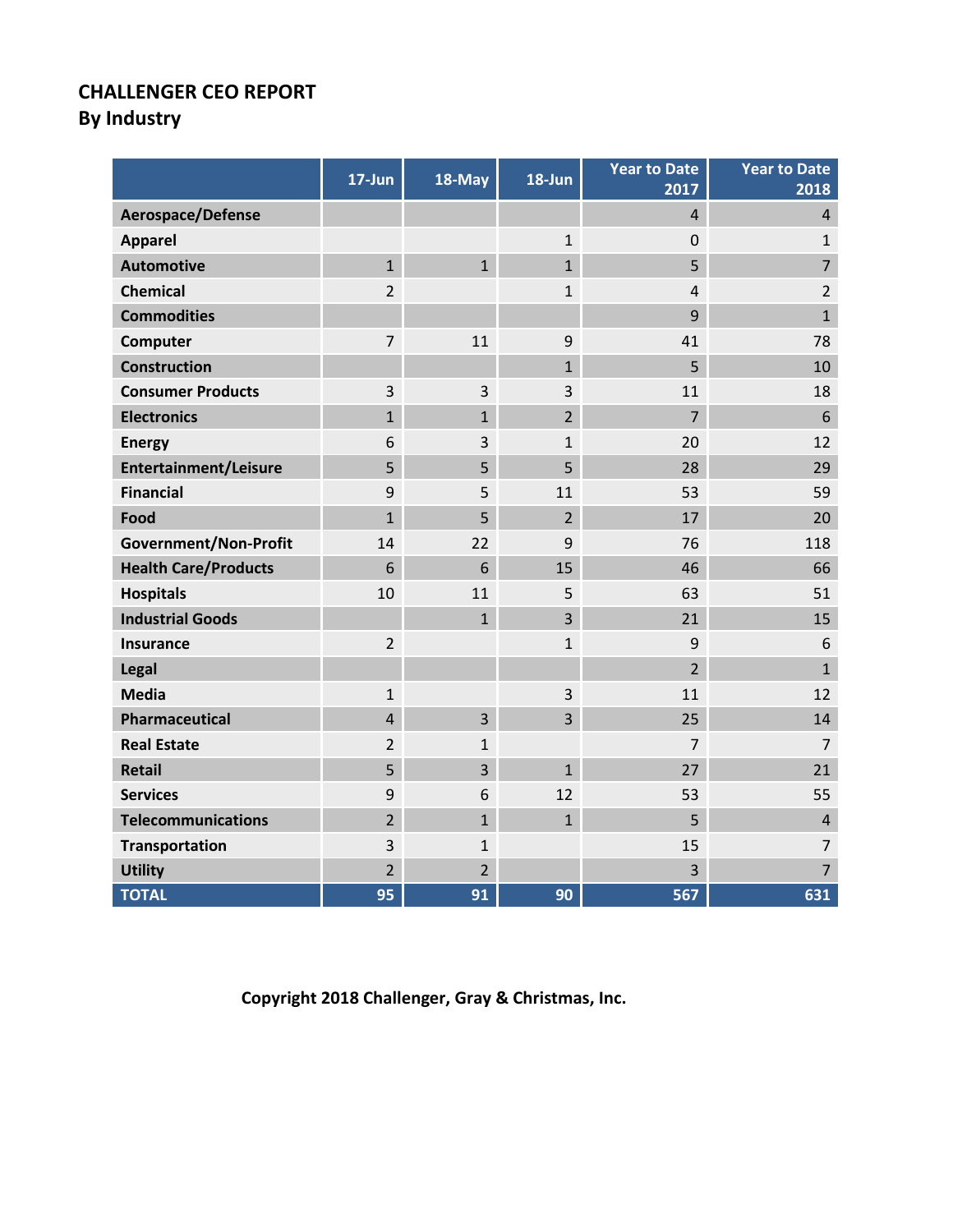**By Industry**

|                              | 17-Jun         | 18-May         | 18-Jun         | <b>Year to Date</b><br>2017 | <b>Year to Date</b><br>2018 |
|------------------------------|----------------|----------------|----------------|-----------------------------|-----------------------------|
| Aerospace/Defense            |                |                |                | $\overline{4}$              | $\overline{4}$              |
| <b>Apparel</b>               |                |                | $\mathbf{1}$   | $\mathbf 0$                 | $\mathbf{1}$                |
| <b>Automotive</b>            | $\mathbf{1}$   | $\overline{1}$ | $\mathbf{1}$   | 5                           | $\overline{7}$              |
| <b>Chemical</b>              | $\overline{2}$ |                | $\mathbf{1}$   | $\overline{4}$              | $\overline{2}$              |
| <b>Commodities</b>           |                |                |                | 9                           | $\mathbf{1}$                |
| Computer                     | $\overline{7}$ | 11             | 9              | 41                          | 78                          |
| <b>Construction</b>          |                |                | $\mathbf{1}$   | 5                           | 10                          |
| <b>Consumer Products</b>     | $\overline{3}$ | $\overline{3}$ | 3              | 11                          | 18                          |
| <b>Electronics</b>           | $\mathbf{1}$   | $\overline{1}$ | $\overline{2}$ | $\overline{7}$              | 6                           |
| <b>Energy</b>                | 6              | 3              | $\mathbf{1}$   | 20                          | 12                          |
| <b>Entertainment/Leisure</b> | 5              | 5              | 5              | 28                          | 29                          |
| <b>Financial</b>             | 9              | 5              | 11             | 53                          | 59                          |
| Food                         | $\overline{1}$ | 5              | $\overline{2}$ | 17                          | 20                          |
| <b>Government/Non-Profit</b> | 14             | 22             | 9              | 76                          | 118                         |
| <b>Health Care/Products</b>  | 6              | 6              | 15             | 46                          | 66                          |
| <b>Hospitals</b>             | 10             | 11             | 5              | 63                          | 51                          |
| <b>Industrial Goods</b>      |                | $\overline{1}$ | $\overline{3}$ | 21                          | 15                          |
| <b>Insurance</b>             | $\overline{2}$ |                | $\mathbf{1}$   | 9                           | 6                           |
| Legal                        |                |                |                | $\overline{2}$              | $\mathbf{1}$                |
| <b>Media</b>                 | $\mathbf 1$    |                | 3              | 11                          | 12                          |
| Pharmaceutical               | $\overline{4}$ | $\overline{3}$ | 3              | 25                          | 14                          |
| <b>Real Estate</b>           | $\overline{2}$ | $\mathbf{1}$   |                | $\overline{7}$              | $\overline{7}$              |
| <b>Retail</b>                | 5              | 3              | $\mathbf{1}$   | 27                          | 21                          |
| <b>Services</b>              | 9              | 6              | 12             | 53                          | 55                          |
| <b>Telecommunications</b>    | $\overline{2}$ | $\mathbf{1}$   | $\mathbf{1}$   | 5                           | $\overline{4}$              |
| Transportation               | $\overline{3}$ | $\mathbf{1}$   |                | 15                          | $\overline{7}$              |
| <b>Utility</b>               | $\overline{2}$ | $\overline{2}$ |                | 3                           | $\overline{7}$              |
| <b>TOTAL</b>                 | 95             | 91             | 90             | 567                         | 631                         |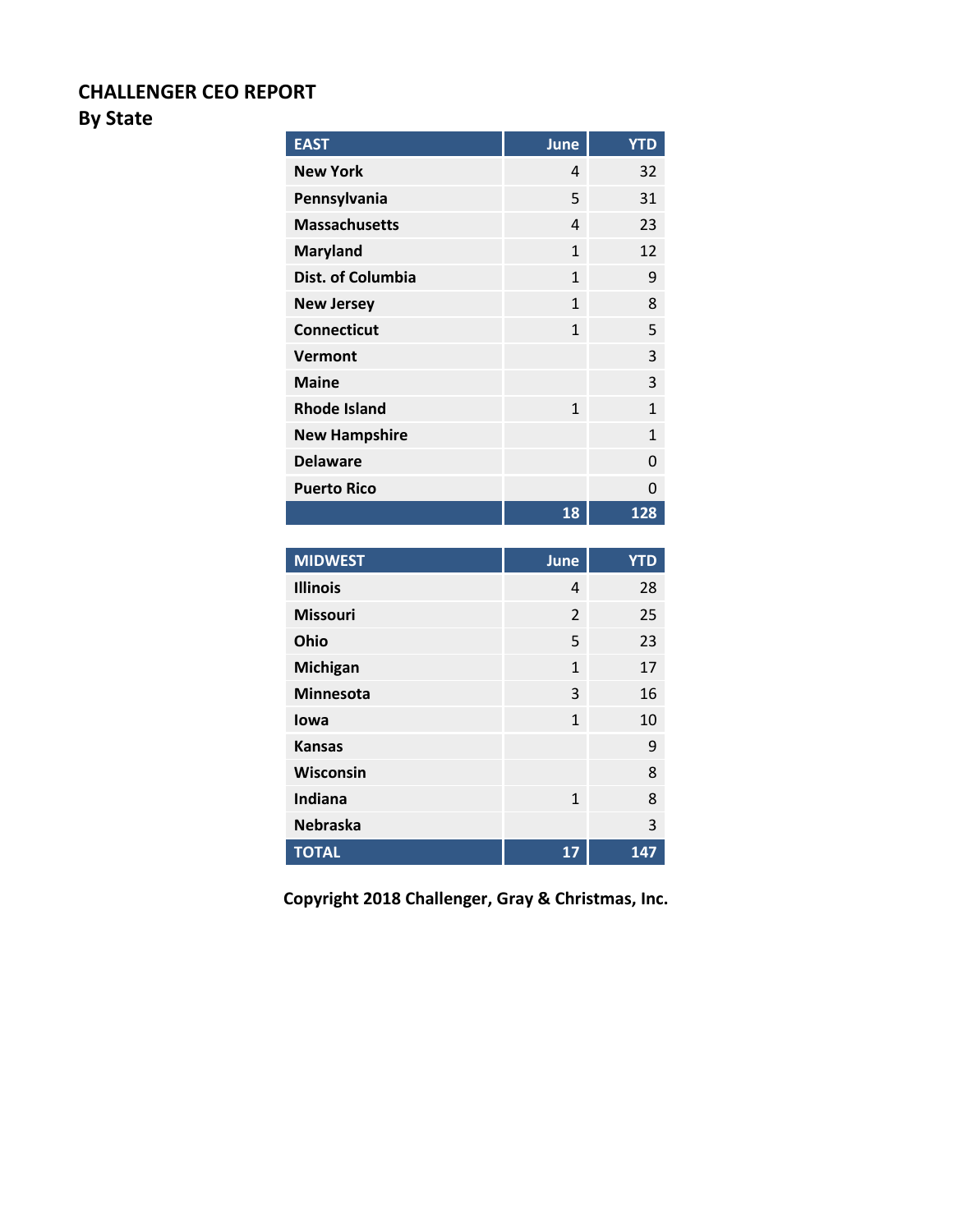# **By State**

| <b>EAST</b>              | June         | <b>YTD</b>   |
|--------------------------|--------------|--------------|
| <b>New York</b>          | 4            | 32           |
| Pennsylvania             | 5            | 31           |
| <b>Massachusetts</b>     | 4            | 23           |
| <b>Maryland</b>          | 1            | 12           |
| <b>Dist. of Columbia</b> | 1            | 9            |
| <b>New Jersey</b>        | $\mathbf{1}$ | 8            |
| <b>Connecticut</b>       | 1            | 5            |
| Vermont                  |              | 3            |
| <b>Maine</b>             |              | 3            |
| <b>Rhode Island</b>      | $\mathbf{1}$ | $\mathbf{1}$ |
| <b>New Hampshire</b>     |              | 1            |
| <b>Delaware</b>          |              | ŋ            |
| <b>Puerto Rico</b>       |              | O            |
|                          | 18           | 128          |

| <b>MIDWEST</b>   | June           | <b>YTD</b> |
|------------------|----------------|------------|
| <b>Illinois</b>  | 4              | 28         |
| <b>Missouri</b>  | $\overline{2}$ | 25         |
| Ohio             | 5              | 23         |
| <b>Michigan</b>  | $\mathbf{1}$   | 17         |
| <b>Minnesota</b> | 3              | 16         |
| lowa             | $\mathbf{1}$   | 10         |
| <b>Kansas</b>    |                | 9          |
| Wisconsin        |                | 8          |
| Indiana          | $\mathbf{1}$   | 8          |
| <b>Nebraska</b>  |                | 3          |
| <b>TOTAL</b>     | 17             | 147        |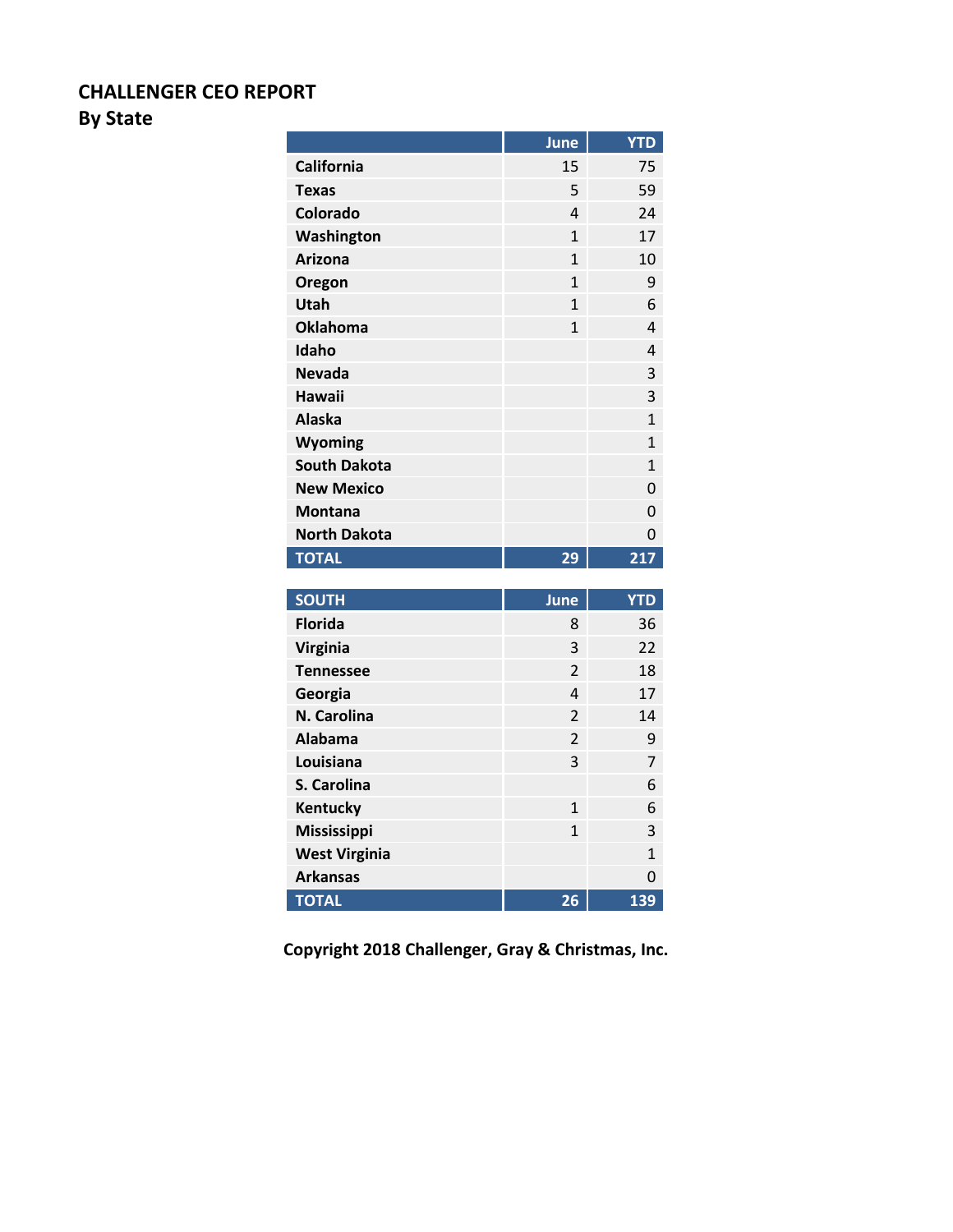# **By State**

|                     | <b>June</b>    | <b>YTD</b>   |
|---------------------|----------------|--------------|
| California          | 15             | 75           |
| <b>Texas</b>        | 5              | 59           |
| Colorado            | $\overline{4}$ | 24           |
| Washington          | $\mathbf{1}$   | 17           |
| <b>Arizona</b>      | $\mathbf{1}$   | 10           |
| Oregon              | $\overline{1}$ | 9            |
| Utah                | $\mathbf{1}$   | 6            |
| <b>Oklahoma</b>     | $\mathbf{1}$   | 4            |
| Idaho               |                | 4            |
| <b>Nevada</b>       |                | 3            |
| <b>Hawaii</b>       |                | 3            |
| <b>Alaska</b>       |                | $\mathbf{1}$ |
| Wyoming             |                | $\mathbf{1}$ |
| <b>South Dakota</b> |                | $\mathbf{1}$ |
| <b>New Mexico</b>   |                | 0            |
| <b>Montana</b>      |                | 0            |
| <b>North Dakota</b> |                | 0            |
| <b>TOTAL</b>        | 29             | 217          |
|                     |                |              |
| <b>SOUTH</b>        | June           | <b>YTD</b>   |
| <b>Florida</b>      | 8              | 36           |
| <b>Virginia</b>     | 3              | 22           |

| <b>Florida</b>       | 8              | 36           |
|----------------------|----------------|--------------|
| <b>Virginia</b>      | 3              | 22           |
| <b>Tennessee</b>     | $\overline{2}$ | 18           |
| Georgia              | 4              | 17           |
| N. Carolina          | $\overline{2}$ | 14           |
| Alabama              | $\overline{2}$ | 9            |
| Louisiana            | 3              | 7            |
| S. Carolina          |                | 6            |
| Kentucky             | $\mathbf{1}$   | 6            |
| <b>Mississippi</b>   | $\mathbf{1}$   | 3            |
| <b>West Virginia</b> |                | $\mathbf{1}$ |
| <b>Arkansas</b>      |                | ŋ            |
| <b>TOTAL</b>         | 26             | 139          |